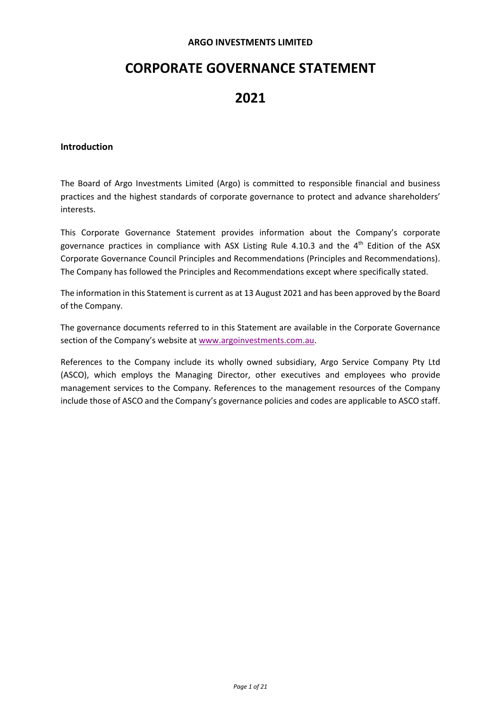### **ARGO INVESTMENTS LIMITED**

# **CORPORATE GOVERNANCE STATEMENT**

# **2021**

## **Introduction**

The Board of Argo Investments Limited (Argo) is committed to responsible financial and business practices and the highest standards of corporate governance to protect and advance shareholders' interests.

This Corporate Governance Statement provides information about the Company's corporate governance practices in compliance with ASX Listing Rule 4.10.3 and the  $4<sup>th</sup>$  Edition of the ASX Corporate Governance Council Principles and Recommendations (Principles and Recommendations). The Company has followed the Principles and Recommendations except where specifically stated.

The information in this Statement is current as at 13 August 2021 and has been approved by the Board of the Company.

The governance documents referred to in this Statement are available in the Corporate Governance section of the Company's website a[t www.argoinvestments.com.au.](http://www.argoinvestments.com.au/)

References to the Company include its wholly owned subsidiary, Argo Service Company Pty Ltd (ASCO), which employs the Managing Director, other executives and employees who provide management services to the Company. References to the management resources of the Company include those of ASCO and the Company's governance policies and codes are applicable to ASCO staff.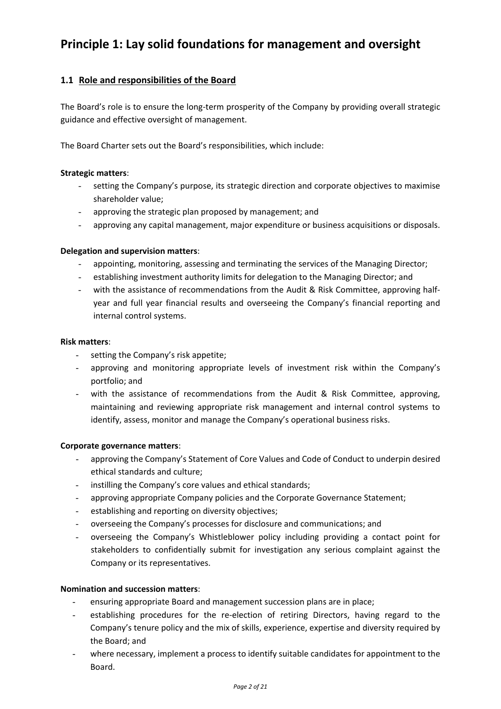# **Principle 1: Lay solid foundations for management and oversight**

# **1.1 Role and responsibilities of the Board**

The Board's role is to ensure the long-term prosperity of the Company by providing overall strategic guidance and effective oversight of management.

The Board Charter sets out the Board's responsibilities, which include:

### **Strategic matters**:

- setting the Company's purpose, its strategic direction and corporate objectives to maximise shareholder value;
- approving the strategic plan proposed by management; and
- approving any capital management, major expenditure or business acquisitions or disposals.

## **Delegation and supervision matters**:

- appointing, monitoring, assessing and terminating the services of the Managing Director;
- establishing investment authority limits for delegation to the Managing Director; and
- with the assistance of recommendations from the Audit & Risk Committee, approving halfyear and full year financial results and overseeing the Company's financial reporting and internal control systems.

### **Risk matters**:

- setting the Company's risk appetite;
- approving and monitoring appropriate levels of investment risk within the Company's portfolio; and
- with the assistance of recommendations from the Audit & Risk Committee, approving, maintaining and reviewing appropriate risk management and internal control systems to identify, assess, monitor and manage the Company's operational business risks.

### **Corporate governance matters**:

- approving the Company's Statement of Core Values and Code of Conduct to underpin desired ethical standards and culture;
- instilling the Company's core values and ethical standards;
- approving appropriate Company policies and the Corporate Governance Statement;
- establishing and reporting on diversity objectives;
- overseeing the Company's processes for disclosure and communications; and
- overseeing the Company's Whistleblower policy including providing a contact point for stakeholders to confidentially submit for investigation any serious complaint against the Company or its representatives.

### **Nomination and succession matters**:

- ensuring appropriate Board and management succession plans are in place;
- establishing procedures for the re-election of retiring Directors, having regard to the Company's tenure policy and the mix of skills, experience, expertise and diversity required by the Board; and
- where necessary, implement a process to identify suitable candidates for appointment to the Board.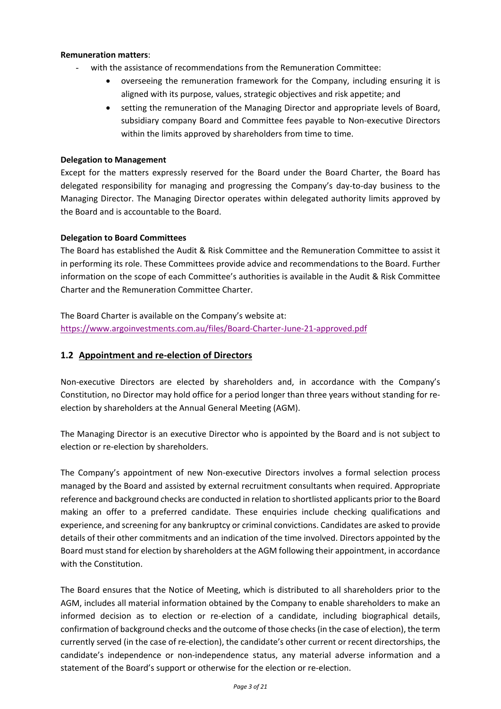### **Remuneration matters**:

- with the assistance of recommendations from the Remuneration Committee:
	- overseeing the remuneration framework for the Company, including ensuring it is aligned with its purpose, values, strategic objectives and risk appetite; and
	- setting the remuneration of the Managing Director and appropriate levels of Board, subsidiary company Board and Committee fees payable to Non-executive Directors within the limits approved by shareholders from time to time.

## **Delegation to Management**

Except for the matters expressly reserved for the Board under the Board Charter, the Board has delegated responsibility for managing and progressing the Company's day-to-day business to the Managing Director. The Managing Director operates within delegated authority limits approved by the Board and is accountable to the Board.

## **Delegation to Board Committees**

The Board has established the Audit & Risk Committee and the Remuneration Committee to assist it in performing its role. These Committees provide advice and recommendations to the Board. Further information on the scope of each Committee's authorities is available in the Audit & Risk Committee Charter and the Remuneration Committee Charter.

The Board Charter is available on the Company's website at: <https://www.argoinvestments.com.au/files/Board-Charter-June-21-approved.pdf>

## **1.2 Appointment and re-election of Directors**

Non-executive Directors are elected by shareholders and, in accordance with the Company's Constitution, no Director may hold office for a period longer than three years without standing for reelection by shareholders at the Annual General Meeting (AGM).

The Managing Director is an executive Director who is appointed by the Board and is not subject to election or re-election by shareholders.

The Company's appointment of new Non-executive Directors involves a formal selection process managed by the Board and assisted by external recruitment consultants when required. Appropriate reference and background checks are conducted in relation to shortlisted applicants prior to the Board making an offer to a preferred candidate. These enquiries include checking qualifications and experience, and screening for any bankruptcy or criminal convictions. Candidates are asked to provide details of their other commitments and an indication of the time involved. Directors appointed by the Board must stand for election by shareholders at the AGM following their appointment, in accordance with the Constitution.

The Board ensures that the Notice of Meeting, which is distributed to all shareholders prior to the AGM, includes all material information obtained by the Company to enable shareholders to make an informed decision as to election or re-election of a candidate, including biographical details, confirmation of background checks and the outcome of those checks (in the case of election), the term currently served (in the case of re-election), the candidate's other current or recent directorships, the candidate's independence or non-independence status, any material adverse information and a statement of the Board's support or otherwise for the election or re-election.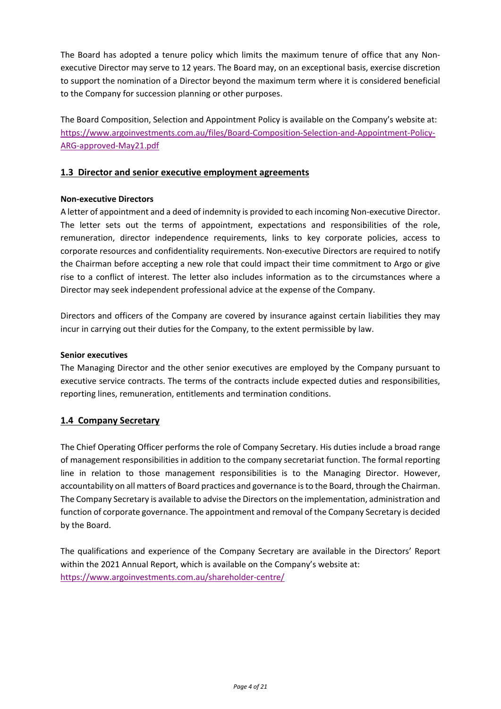The Board has adopted a tenure policy which limits the maximum tenure of office that any Nonexecutive Director may serve to 12 years. The Board may, on an exceptional basis, exercise discretion to support the nomination of a Director beyond the maximum term where it is considered beneficial to the Company for succession planning or other purposes.

The Board Composition, Selection and Appointment Policy is available on the Company's website at: [https://www.argoinvestments.com.au/files/Board-Composition-Selection-and-Appointment-Policy-](https://www.argoinvestments.com.au/files/Board-Composition-Selection-and-Appointment-Policy-ARG-approved-May21.pdf)[ARG-approved-May21.pdf](https://www.argoinvestments.com.au/files/Board-Composition-Selection-and-Appointment-Policy-ARG-approved-May21.pdf)

## **1.3 Director and senior executive employment agreements**

### **Non-executive Directors**

A letter of appointment and a deed of indemnity is provided to each incoming Non-executive Director. The letter sets out the terms of appointment, expectations and responsibilities of the role, remuneration, director independence requirements, links to key corporate policies, access to corporate resources and confidentiality requirements. Non-executive Directors are required to notify the Chairman before accepting a new role that could impact their time commitment to Argo or give rise to a conflict of interest. The letter also includes information as to the circumstances where a Director may seek independent professional advice at the expense of the Company.

Directors and officers of the Company are covered by insurance against certain liabilities they may incur in carrying out their duties for the Company, to the extent permissible by law.

#### **Senior executives**

The Managing Director and the other senior executives are employed by the Company pursuant to executive service contracts. The terms of the contracts include expected duties and responsibilities, reporting lines, remuneration, entitlements and termination conditions.

### **1.4 Company Secretary**

The Chief Operating Officer performs the role of Company Secretary. His duties include a broad range of management responsibilities in addition to the company secretariat function. The formal reporting line in relation to those management responsibilities is to the Managing Director. However, accountability on all matters of Board practices and governance is to the Board, through the Chairman. The Company Secretary is available to advise the Directors on the implementation, administration and function of corporate governance. The appointment and removal of the Company Secretary is decided by the Board.

The qualifications and experience of the Company Secretary are available in the Directors' Report within the 2021 Annual Report, which is available on the Company's website at: <https://www.argoinvestments.com.au/shareholder-centre/>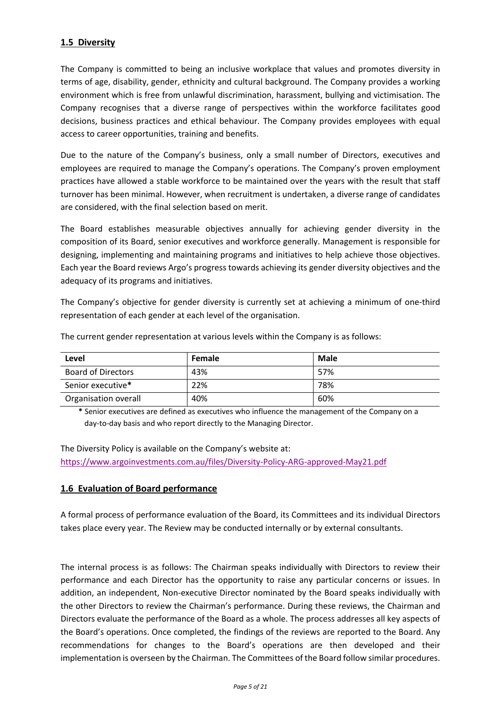# **1.5 Diversity**

The Company is committed to being an inclusive workplace that values and promotes diversity in terms of age, disability, gender, ethnicity and cultural background. The Company provides a working environment which is free from unlawful discrimination, harassment, bullying and victimisation. The Company recognises that a diverse range of perspectives within the workforce facilitates good decisions, business practices and ethical behaviour. The Company provides employees with equal access to career opportunities, training and benefits.

Due to the nature of the Company's business, only a small number of Directors, executives and employees are required to manage the Company's operations. The Company's proven employment practices have allowed a stable workforce to be maintained over the years with the result that staff turnover has been minimal. However, when recruitment is undertaken, a diverse range of candidates are considered, with the final selection based on merit.

The Board establishes measurable objectives annually for achieving gender diversity in the composition of its Board, senior executives and workforce generally. Management is responsible for designing, implementing and maintaining programs and initiatives to help achieve those objectives. Each year the Board reviews Argo's progress towards achieving its gender diversity objectives and the adequacy of its programs and initiatives.

The Company's objective for gender diversity is currently set at achieving a minimum of one-third representation of each gender at each level of the organisation.

| Level                     | Female | Male |
|---------------------------|--------|------|
| <b>Board of Directors</b> | 43%    | 57%  |
| Senior executive*         | 22%    | 78%  |
| Organisation overall      | 40%    | 60%  |

The current gender representation at various levels within the Company is as follows:

**\*** Senior executives are defined as executives who influence the management of the Company on a day-to-day basis and who report directly to the Managing Director.

The Diversity Policy is available on the Company's website at: <https://www.argoinvestments.com.au/files/Diversity-Policy-ARG-approved-May21.pdf>

## **1.6 Evaluation of Board performance**

A formal process of performance evaluation of the Board, its Committees and its individual Directors takes place every year. The Review may be conducted internally or by external consultants.

The internal process is as follows: The Chairman speaks individually with Directors to review their performance and each Director has the opportunity to raise any particular concerns or issues. In addition, an independent, Non-executive Director nominated by the Board speaks individually with the other Directors to review the Chairman's performance. During these reviews, the Chairman and Directors evaluate the performance of the Board as a whole. The process addresses all key aspects of the Board's operations. Once completed, the findings of the reviews are reported to the Board. Any recommendations for changes to the Board's operations are then developed and their implementation is overseen by the Chairman. The Committees of the Board follow similar procedures.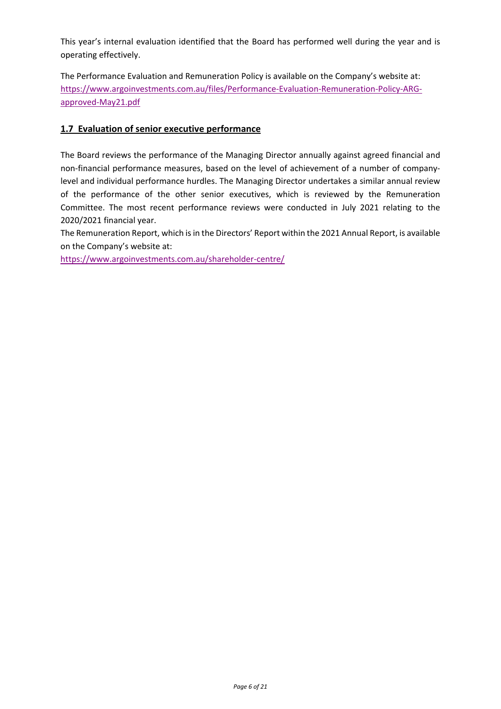This year's internal evaluation identified that the Board has performed well during the year and is operating effectively.

The Performance Evaluation and Remuneration Policy is available on the Company's website at: [https://www.argoinvestments.com.au/files/Performance-Evaluation-Remuneration-Policy-ARG](https://www.argoinvestments.com.au/files/Performance-Evaluation-Remuneration-Policy-ARG-approved-May21.pdf)[approved-May21.pdf](https://www.argoinvestments.com.au/files/Performance-Evaluation-Remuneration-Policy-ARG-approved-May21.pdf)

## **1.7 Evaluation of senior executive performance**

The Board reviews the performance of the Managing Director annually against agreed financial and non-financial performance measures, based on the level of achievement of a number of companylevel and individual performance hurdles. The Managing Director undertakes a similar annual review of the performance of the other senior executives, which is reviewed by the Remuneration Committee. The most recent performance reviews were conducted in July 2021 relating to the 2020/2021 financial year.

The Remuneration Report, which is in the Directors' Report within the 2021 Annual Report, is available on the Company's website at:

<https://www.argoinvestments.com.au/shareholder-centre/>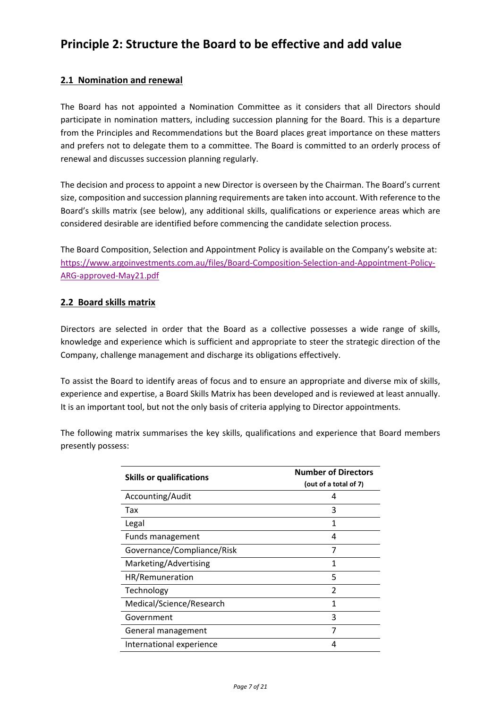# **Principle 2: Structure the Board to be effective and add value**

# **2.1 Nomination and renewal**

The Board has not appointed a Nomination Committee as it considers that all Directors should participate in nomination matters, including succession planning for the Board. This is a departure from the Principles and Recommendations but the Board places great importance on these matters and prefers not to delegate them to a committee. The Board is committed to an orderly process of renewal and discusses succession planning regularly.

The decision and process to appoint a new Director is overseen by the Chairman. The Board's current size, composition and succession planning requirements are taken into account. With reference to the Board's skills matrix (see below), any additional skills, qualifications or experience areas which are considered desirable are identified before commencing the candidate selection process.

The Board Composition, Selection and Appointment Policy is available on the Company's website at: [https://www.argoinvestments.com.au/files/Board-Composition-Selection-and-Appointment-Policy-](https://www.argoinvestments.com.au/files/Board-Composition-Selection-and-Appointment-Policy-ARG-approved-May21.pdf)[ARG-approved-May21.pdf](https://www.argoinvestments.com.au/files/Board-Composition-Selection-and-Appointment-Policy-ARG-approved-May21.pdf)

## **2.2 Board skills matrix**

Directors are selected in order that the Board as a collective possesses a wide range of skills, knowledge and experience which is sufficient and appropriate to steer the strategic direction of the Company, challenge management and discharge its obligations effectively.

To assist the Board to identify areas of focus and to ensure an appropriate and diverse mix of skills, experience and expertise, a Board Skills Matrix has been developed and is reviewed at least annually. It is an important tool, but not the only basis of criteria applying to Director appointments.

The following matrix summarises the key skills, qualifications and experience that Board members presently possess:

| <b>Skills or qualifications</b> | <b>Number of Directors</b><br>(out of a total of 7) |
|---------------------------------|-----------------------------------------------------|
| Accounting/Audit                | 4                                                   |
| Tax                             | 3                                                   |
| Legal                           | 1                                                   |
| Funds management                | 4                                                   |
| Governance/Compliance/Risk      |                                                     |
| Marketing/Advertising           | 1                                                   |
| HR/Remuneration                 | 5                                                   |
| Technology                      | $\mathfrak z$                                       |
| Medical/Science/Research        |                                                     |
| Government                      | 3                                                   |
| General management              | 7                                                   |
| International experience        |                                                     |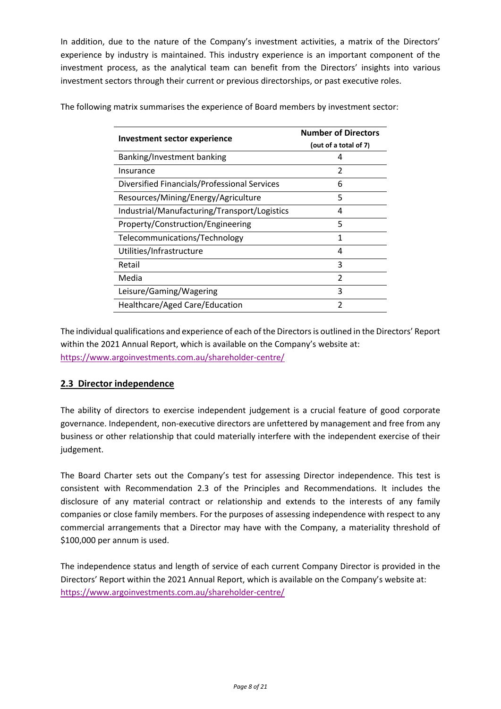In addition, due to the nature of the Company's investment activities, a matrix of the Directors' experience by industry is maintained. This industry experience is an important component of the investment process, as the analytical team can benefit from the Directors' insights into various investment sectors through their current or previous directorships, or past executive roles.

| Investment sector experience                 | <b>Number of Directors</b><br>(out of a total of 7) |
|----------------------------------------------|-----------------------------------------------------|
| Banking/Investment banking                   | 4                                                   |
| Insurance                                    | 2                                                   |
| Diversified Financials/Professional Services | 6                                                   |
| Resources/Mining/Energy/Agriculture          | 5                                                   |
| Industrial/Manufacturing/Transport/Logistics | 4                                                   |
| Property/Construction/Engineering            | 5                                                   |
| Telecommunications/Technology                | 1                                                   |
| Utilities/Infrastructure                     | 4                                                   |
| Retail                                       | 3                                                   |
| Media                                        | $\mathfrak{D}$                                      |
| Leisure/Gaming/Wagering                      | 3                                                   |
| Healthcare/Aged Care/Education               | $\mathfrak{p}$                                      |

The following matrix summarises the experience of Board members by investment sector:

The individual qualifications and experience of each of the Directors is outlined in the Directors' Report within the 2021 Annual Report, which is available on the Company's website at: <https://www.argoinvestments.com.au/shareholder-centre/>

## **2.3 Director independence**

The ability of directors to exercise independent judgement is a crucial feature of good corporate governance. Independent, non-executive directors are unfettered by management and free from any business or other relationship that could materially interfere with the independent exercise of their judgement.

The Board Charter sets out the Company's test for assessing Director independence. This test is consistent with Recommendation 2.3 of the Principles and Recommendations. It includes the disclosure of any material contract or relationship and extends to the interests of any family companies or close family members. For the purposes of assessing independence with respect to any commercial arrangements that a Director may have with the Company, a materiality threshold of \$100,000 per annum is used.

The independence status and length of service of each current Company Director is provided in the Directors' Report within the 2021 Annual Report, which is available on the Company's website at: <https://www.argoinvestments.com.au/shareholder-centre/>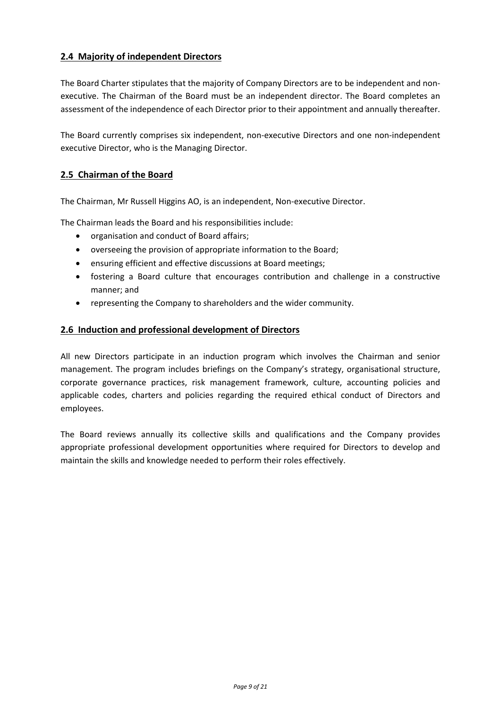# **2.4 Majority of independent Directors**

The Board Charter stipulates that the majority of Company Directors are to be independent and nonexecutive. The Chairman of the Board must be an independent director. The Board completes an assessment of the independence of each Director prior to their appointment and annually thereafter.

The Board currently comprises six independent, non-executive Directors and one non-independent executive Director, who is the Managing Director.

## **2.5 Chairman of the Board**

The Chairman, Mr Russell Higgins AO, is an independent, Non-executive Director.

The Chairman leads the Board and his responsibilities include:

- organisation and conduct of Board affairs;
- overseeing the provision of appropriate information to the Board;
- ensuring efficient and effective discussions at Board meetings;
- fostering a Board culture that encourages contribution and challenge in a constructive manner; and
- representing the Company to shareholders and the wider community.

## **2.6 Induction and professional development of Directors**

All new Directors participate in an induction program which involves the Chairman and senior management. The program includes briefings on the Company's strategy, organisational structure, corporate governance practices, risk management framework, culture, accounting policies and applicable codes, charters and policies regarding the required ethical conduct of Directors and employees.

The Board reviews annually its collective skills and qualifications and the Company provides appropriate professional development opportunities where required for Directors to develop and maintain the skills and knowledge needed to perform their roles effectively.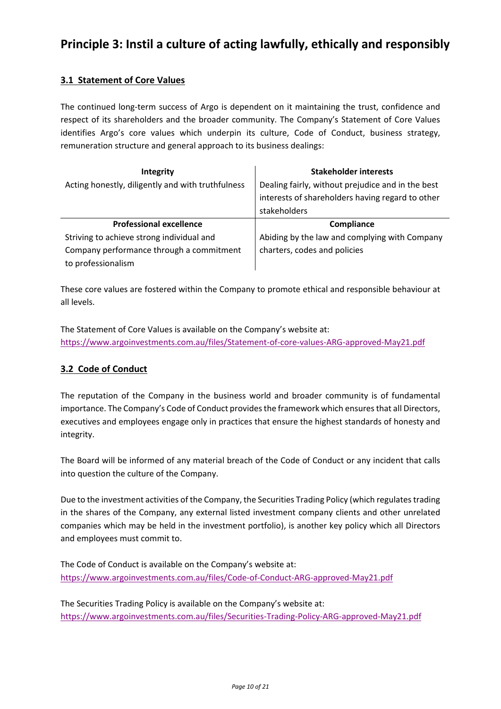# **Principle 3: Instil a culture of acting lawfully, ethically and responsibly**

# **3.1 Statement of Core Values**

The continued long-term success of Argo is dependent on it maintaining the trust, confidence and respect of its shareholders and the broader community. The Company's Statement of Core Values identifies Argo's core values which underpin its culture, Code of Conduct, business strategy, remuneration structure and general approach to its business dealings:

| Integrity                                         | <b>Stakeholder interests</b>                                                                                          |
|---------------------------------------------------|-----------------------------------------------------------------------------------------------------------------------|
| Acting honestly, diligently and with truthfulness | Dealing fairly, without prejudice and in the best<br>interests of shareholders having regard to other<br>stakeholders |
|                                                   |                                                                                                                       |
| <b>Professional excellence</b>                    | Compliance                                                                                                            |
| Striving to achieve strong individual and         | Abiding by the law and complying with Company                                                                         |
| Company performance through a commitment          | charters, codes and policies                                                                                          |

These core values are fostered within the Company to promote ethical and responsible behaviour at all levels.

The Statement of Core Values is available on the Company's website at: <https://www.argoinvestments.com.au/files/Statement-of-core-values-ARG-approved-May21.pdf>

## **3.2 Code of Conduct**

The reputation of the Company in the business world and broader community is of fundamental importance. The Company's Code of Conduct provides the framework which ensures that all Directors, executives and employees engage only in practices that ensure the highest standards of honesty and integrity.

The Board will be informed of any material breach of the Code of Conduct or any incident that calls into question the culture of the Company.

Due to the investment activities of the Company, the Securities Trading Policy (which regulates trading in the shares of the Company, any external listed investment company clients and other unrelated companies which may be held in the investment portfolio), is another key policy which all Directors and employees must commit to.

The Code of Conduct is available on the Company's website at: <https://www.argoinvestments.com.au/files/Code-of-Conduct-ARG-approved-May21.pdf>

The Securities Trading Policy is available on the Company's website at: <https://www.argoinvestments.com.au/files/Securities-Trading-Policy-ARG-approved-May21.pdf>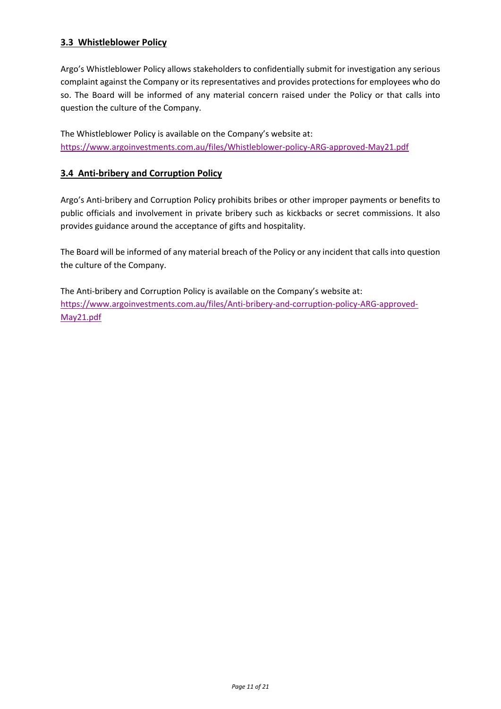# **3.3 Whistleblower Policy**

Argo's Whistleblower Policy allows stakeholders to confidentially submit for investigation any serious complaint against the Company or its representatives and provides protections for employees who do so. The Board will be informed of any material concern raised under the Policy or that calls into question the culture of the Company.

The Whistleblower Policy is available on the Company's website at: <https://www.argoinvestments.com.au/files/Whistleblower-policy-ARG-approved-May21.pdf>

## **3.4 Anti-bribery and Corruption Policy**

Argo's Anti-bribery and Corruption Policy prohibits bribes or other improper payments or benefits to public officials and involvement in private bribery such as kickbacks or secret commissions. It also provides guidance around the acceptance of gifts and hospitality.

The Board will be informed of any material breach of the Policy or any incident that calls into question the culture of the Company.

The Anti-bribery and Corruption Policy is available on the Company's website at: [https://www.argoinvestments.com.au/files/Anti-bribery-and-corruption-policy-ARG-approved-](https://www.argoinvestments.com.au/files/Anti-bribery-and-corruption-policy-ARG-approved-May21.pdf)[May21.pdf](https://www.argoinvestments.com.au/files/Anti-bribery-and-corruption-policy-ARG-approved-May21.pdf)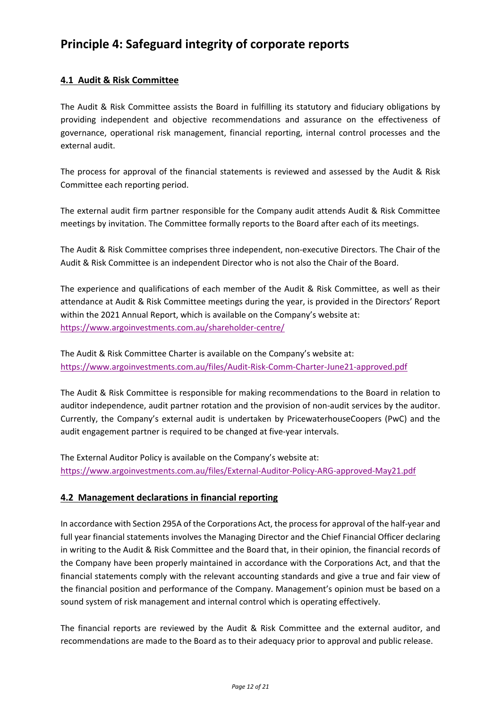# **Principle 4: Safeguard integrity of corporate reports**

# **4.1 Audit & Risk Committee**

The Audit & Risk Committee assists the Board in fulfilling its statutory and fiduciary obligations by providing independent and objective recommendations and assurance on the effectiveness of governance, operational risk management, financial reporting, internal control processes and the external audit.

The process for approval of the financial statements is reviewed and assessed by the Audit & Risk Committee each reporting period.

The external audit firm partner responsible for the Company audit attends Audit & Risk Committee meetings by invitation. The Committee formally reports to the Board after each of its meetings.

The Audit & Risk Committee comprises three independent, non-executive Directors. The Chair of the Audit & Risk Committee is an independent Director who is not also the Chair of the Board.

The experience and qualifications of each member of the Audit & Risk Committee, as well as their attendance at Audit & Risk Committee meetings during the year, is provided in the Directors' Report within the 2021 Annual Report, which is available on the Company's website at: <https://www.argoinvestments.com.au/shareholder-centre/>

The Audit & Risk Committee Charter is available on the Company's website at: <https://www.argoinvestments.com.au/files/Audit-Risk-Comm-Charter-June21-approved.pdf>

The Audit & Risk Committee is responsible for making recommendations to the Board in relation to auditor independence, audit partner rotation and the provision of non-audit services by the auditor. Currently, the Company's external audit is undertaken by PricewaterhouseCoopers (PwC) and the audit engagement partner is required to be changed at five-year intervals.

The External Auditor Policy is available on the Company's website at: <https://www.argoinvestments.com.au/files/External-Auditor-Policy-ARG-approved-May21.pdf>

## **4.2 Management declarations in financial reporting**

In accordance with Section 295A of the Corporations Act, the process for approval of the half-year and full year financial statements involves the Managing Director and the Chief Financial Officer declaring in writing to the Audit & Risk Committee and the Board that, in their opinion, the financial records of the Company have been properly maintained in accordance with the Corporations Act, and that the financial statements comply with the relevant accounting standards and give a true and fair view of the financial position and performance of the Company. Management's opinion must be based on a sound system of risk management and internal control which is operating effectively.

The financial reports are reviewed by the Audit & Risk Committee and the external auditor, and recommendations are made to the Board as to their adequacy prior to approval and public release.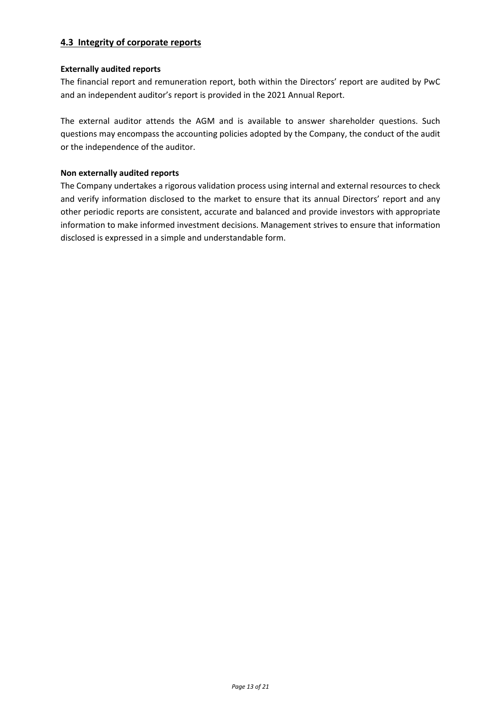# **4.3 Integrity of corporate reports**

## **Externally audited reports**

The financial report and remuneration report, both within the Directors' report are audited by PwC and an independent auditor's report is provided in the 2021 Annual Report.

The external auditor attends the AGM and is available to answer shareholder questions. Such questions may encompass the accounting policies adopted by the Company, the conduct of the audit or the independence of the auditor.

## **Non externally audited reports**

The Company undertakes a rigorous validation process using internal and external resources to check and verify information disclosed to the market to ensure that its annual Directors' report and any other periodic reports are consistent, accurate and balanced and provide investors with appropriate information to make informed investment decisions. Management strives to ensure that information disclosed is expressed in a simple and understandable form.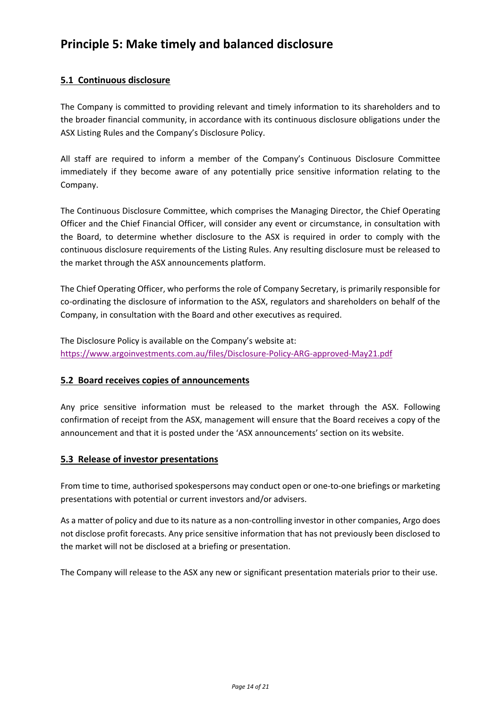# **Principle 5: Make timely and balanced disclosure**

# **5.1 Continuous disclosure**

The Company is committed to providing relevant and timely information to its shareholders and to the broader financial community, in accordance with its continuous disclosure obligations under the ASX Listing Rules and the Company's Disclosure Policy.

All staff are required to inform a member of the Company's Continuous Disclosure Committee immediately if they become aware of any potentially price sensitive information relating to the Company.

The Continuous Disclosure Committee, which comprises the Managing Director, the Chief Operating Officer and the Chief Financial Officer, will consider any event or circumstance, in consultation with the Board, to determine whether disclosure to the ASX is required in order to comply with the continuous disclosure requirements of the Listing Rules. Any resulting disclosure must be released to the market through the ASX announcements platform.

The Chief Operating Officer, who performs the role of Company Secretary, is primarily responsible for co-ordinating the disclosure of information to the ASX, regulators and shareholders on behalf of the Company, in consultation with the Board and other executives as required.

The Disclosure Policy is available on the Company's website at: <https://www.argoinvestments.com.au/files/Disclosure-Policy-ARG-approved-May21.pdf>

## **5.2 Board receives copies of announcements**

Any price sensitive information must be released to the market through the ASX. Following confirmation of receipt from the ASX, management will ensure that the Board receives a copy of the announcement and that it is posted under the 'ASX announcements' section on its website.

## **5.3 Release of investor presentations**

From time to time, authorised spokespersons may conduct open or one-to-one briefings or marketing presentations with potential or current investors and/or advisers.

As a matter of policy and due to its nature as a non-controlling investor in other companies, Argo does not disclose profit forecasts. Any price sensitive information that has not previously been disclosed to the market will not be disclosed at a briefing or presentation.

The Company will release to the ASX any new or significant presentation materials prior to their use.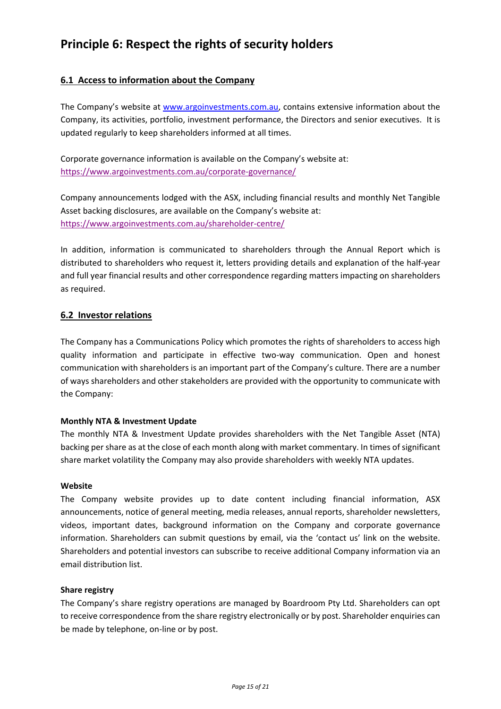# **Principle 6: Respect the rights of security holders**

# **6.1 Access to information about the Company**

The Company's website at [www.argoinvestments.com.au,](http://www.argoinvestments.com.au/) contains extensive information about the Company, its activities, portfolio, investment performance, the Directors and senior executives. It is updated regularly to keep shareholders informed at all times.

Corporate governance information is available on the Company's website at: <https://www.argoinvestments.com.au/corporate-governance/>

Company announcements lodged with the ASX, including financial results and monthly Net Tangible Asset backing disclosures, are available on the Company's website at: <https://www.argoinvestments.com.au/shareholder-centre/>

In addition, information is communicated to shareholders through the Annual Report which is distributed to shareholders who request it, letters providing details and explanation of the half-year and full year financial results and other correspondence regarding matters impacting on shareholders as required.

## **6.2 Investor relations**

The Company has a Communications Policy which promotes the rights of shareholders to access high quality information and participate in effective two-way communication. Open and honest communication with shareholders is an important part of the Company's culture. There are a number of ways shareholders and other stakeholders are provided with the opportunity to communicate with the Company:

### **Monthly NTA & Investment Update**

The monthly NTA & Investment Update provides shareholders with the Net Tangible Asset (NTA) backing per share as at the close of each month along with market commentary. In times of significant share market volatility the Company may also provide shareholders with weekly NTA updates.

### **Website**

The Company website provides up to date content including financial information, ASX announcements, notice of general meeting, media releases, annual reports, shareholder newsletters, videos, important dates, background information on the Company and corporate governance information. Shareholders can submit questions by email, via the 'contact us' link on the website. Shareholders and potential investors can subscribe to receive additional Company information via an email distribution list.

### **Share registry**

The Company's share registry operations are managed by Boardroom Pty Ltd. Shareholders can opt to receive correspondence from the share registry electronically or by post. Shareholder enquiries can be made by telephone, on-line or by post.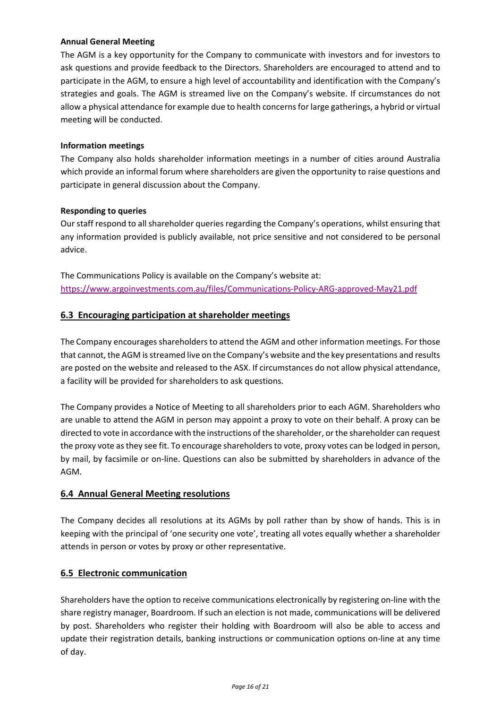## **Annual General Meeting**

The AGM is a key opportunity for the Company to communicate with investors and for investors to ask questions and provide feedback to the Directors. Shareholders are encouraged to attend and to participate in the AGM, to ensure a high level of accountability and identification with the Company's strategies and goals. The AGM is streamed live on the Company's website. If circumstances do not allow a physical attendance for example due to health concerns for large gatherings, a hybrid or virtual meeting will be conducted.

### **Information meetings**

The Company also holds shareholder information meetings in a number of cities around Australia which provide an informal forum where shareholders are given the opportunity to raise questions and participate in general discussion about the Company.

### **Responding to queries**

Our staff respond to all shareholder queries regarding the Company's operations, whilst ensuring that any information provided is publicly available, not price sensitive and not considered to be personal advice.

The Communications Policy is available on the Company's website at: <https://www.argoinvestments.com.au/files/Communications-Policy-ARG-approved-May21.pdf>

## **6.3 Encouraging participation at shareholder meetings**

The Company encourages shareholders to attend the AGM and other information meetings. For those that cannot, the AGM is streamed live on the Company's website and the key presentations and results are posted on the website and released to the ASX. If circumstances do not allow physical attendance, a facility will be provided for shareholders to ask questions.

The Company provides a Notice of Meeting to all shareholders prior to each AGM. Shareholders who are unable to attend the AGM in person may appoint a proxy to vote on their behalf. A proxy can be directed to vote in accordance with the instructions of the shareholder, or the shareholder can request the proxy vote as they see fit. To encourage shareholders to vote, proxy votes can be lodged in person, by mail, by facsimile or on-line. Questions can also be submitted by shareholders in advance of the AGM.

## **6.4 Annual General Meeting resolutions**

The Company decides all resolutions at its AGMs by poll rather than by show of hands. This is in keeping with the principal of 'one security one vote', treating all votes equally whether a shareholder attends in person or votes by proxy or other representative.

## **6.5 Electronic communication**

Shareholders have the option to receive communications electronically by registering on-line with the share registry manager, Boardroom. If such an election is not made, communications will be delivered by post. Shareholders who register their holding with Boardroom will also be able to access and update their registration details, banking instructions or communication options on-line at any time of day.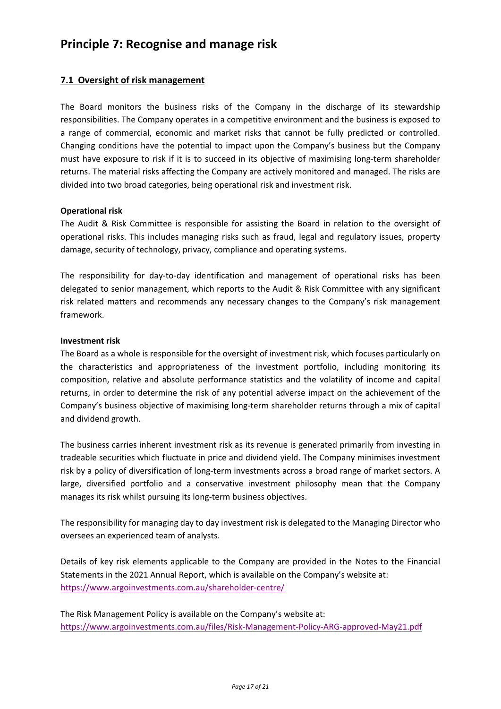# **Principle 7: Recognise and manage risk**

## **7.1 Oversight of risk management**

The Board monitors the business risks of the Company in the discharge of its stewardship responsibilities. The Company operates in a competitive environment and the business is exposed to a range of commercial, economic and market risks that cannot be fully predicted or controlled. Changing conditions have the potential to impact upon the Company's business but the Company must have exposure to risk if it is to succeed in its objective of maximising long-term shareholder returns. The material risks affecting the Company are actively monitored and managed. The risks are divided into two broad categories, being operational risk and investment risk.

### **Operational risk**

The Audit & Risk Committee is responsible for assisting the Board in relation to the oversight of operational risks. This includes managing risks such as fraud, legal and regulatory issues, property damage, security of technology, privacy, compliance and operating systems.

The responsibility for day-to-day identification and management of operational risks has been delegated to senior management, which reports to the Audit & Risk Committee with any significant risk related matters and recommends any necessary changes to the Company's risk management framework.

#### **Investment risk**

The Board as a whole is responsible for the oversight of investment risk, which focuses particularly on the characteristics and appropriateness of the investment portfolio, including monitoring its composition, relative and absolute performance statistics and the volatility of income and capital returns, in order to determine the risk of any potential adverse impact on the achievement of the Company's business objective of maximising long-term shareholder returns through a mix of capital and dividend growth.

The business carries inherent investment risk as its revenue is generated primarily from investing in tradeable securities which fluctuate in price and dividend yield. The Company minimises investment risk by a policy of diversification of long-term investments across a broad range of market sectors. A large, diversified portfolio and a conservative investment philosophy mean that the Company manages its risk whilst pursuing its long-term business objectives.

The responsibility for managing day to day investment risk is delegated to the Managing Director who oversees an experienced team of analysts.

Details of key risk elements applicable to the Company are provided in the Notes to the Financial Statements in the 2021 Annual Report, which is available on the Company's website at: <https://www.argoinvestments.com.au/shareholder-centre/>

The Risk Management Policy is available on the Company's website at: <https://www.argoinvestments.com.au/files/Risk-Management-Policy-ARG-approved-May21.pdf>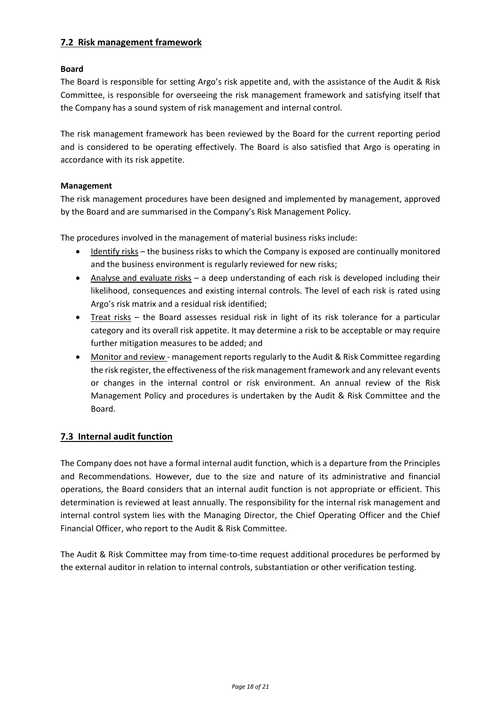# **7.2 Risk management framework**

### **Board**

The Board is responsible for setting Argo's risk appetite and, with the assistance of the Audit & Risk Committee, is responsible for overseeing the risk management framework and satisfying itself that the Company has a sound system of risk management and internal control.

The risk management framework has been reviewed by the Board for the current reporting period and is considered to be operating effectively. The Board is also satisfied that Argo is operating in accordance with its risk appetite.

### **Management**

The risk management procedures have been designed and implemented by management, approved by the Board and are summarised in the Company's Risk Management Policy.

The procedures involved in the management of material business risks include:

- Identify risks the business risks to which the Company is exposed are continually monitored and the business environment is regularly reviewed for new risks;
- Analyse and evaluate risks a deep understanding of each risk is developed including their likelihood, consequences and existing internal controls. The level of each risk is rated using Argo's risk matrix and a residual risk identified;
- Treat risks the Board assesses residual risk in light of its risk tolerance for a particular category and its overall risk appetite. It may determine a risk to be acceptable or may require further mitigation measures to be added; and
- Monitor and review management reports regularly to the Audit & Risk Committee regarding the risk register, the effectiveness of the risk management framework and any relevant events or changes in the internal control or risk environment. An annual review of the Risk Management Policy and procedures is undertaken by the Audit & Risk Committee and the Board.

## **7.3 Internal audit function**

The Company does not have a formal internal audit function, which is a departure from the Principles and Recommendations. However, due to the size and nature of its administrative and financial operations, the Board considers that an internal audit function is not appropriate or efficient. This determination is reviewed at least annually. The responsibility for the internal risk management and internal control system lies with the Managing Director, the Chief Operating Officer and the Chief Financial Officer, who report to the Audit & Risk Committee.

The Audit & Risk Committee may from time-to-time request additional procedures be performed by the external auditor in relation to internal controls, substantiation or other verification testing.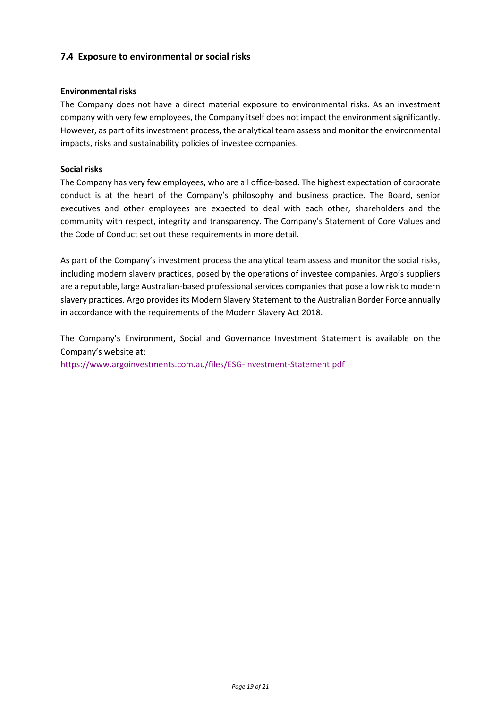## **7.4 Exposure to environmental or social risks**

#### **Environmental risks**

The Company does not have a direct material exposure to environmental risks. As an investment company with very few employees, the Company itself does not impact the environment significantly. However, as part of its investment process, the analytical team assess and monitor the environmental impacts, risks and sustainability policies of investee companies.

#### **Social risks**

The Company has very few employees, who are all office-based. The highest expectation of corporate conduct is at the heart of the Company's philosophy and business practice. The Board, senior executives and other employees are expected to deal with each other, shareholders and the community with respect, integrity and transparency. The Company's Statement of Core Values and the Code of Conduct set out these requirements in more detail.

As part of the Company's investment process the analytical team assess and monitor the social risks, including modern slavery practices, posed by the operations of investee companies. Argo's suppliers are a reputable, large Australian-based professional services companies that pose a low risk to modern slavery practices. Argo provides its Modern Slavery Statement to the Australian Border Force annually in accordance with the requirements of the Modern Slavery Act 2018.

The Company's Environment, Social and Governance Investment Statement is available on the Company's website at:

<https://www.argoinvestments.com.au/files/ESG-Investment-Statement.pdf>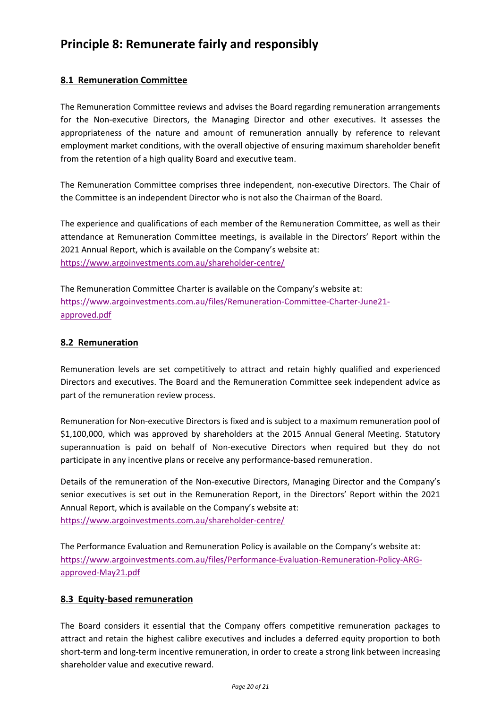# **Principle 8: Remunerate fairly and responsibly**

## **8.1 Remuneration Committee**

The Remuneration Committee reviews and advises the Board regarding remuneration arrangements for the Non-executive Directors, the Managing Director and other executives. It assesses the appropriateness of the nature and amount of remuneration annually by reference to relevant employment market conditions, with the overall objective of ensuring maximum shareholder benefit from the retention of a high quality Board and executive team.

The Remuneration Committee comprises three independent, non-executive Directors. The Chair of the Committee is an independent Director who is not also the Chairman of the Board.

The experience and qualifications of each member of the Remuneration Committee, as well as their attendance at Remuneration Committee meetings, is available in the Directors' Report within the 2021 Annual Report, which is available on the Company's website at: <https://www.argoinvestments.com.au/shareholder-centre/>

The Remuneration Committee Charter is available on the Company's website at: [https://www.argoinvestments.com.au/files/Remuneration-Committee-Charter-June21](https://www.argoinvestments.com.au/files/Remuneration-Committee-Charter-June21-approved.pdf) [approved.pdf](https://www.argoinvestments.com.au/files/Remuneration-Committee-Charter-June21-approved.pdf)

# **8.2 Remuneration**

Remuneration levels are set competitively to attract and retain highly qualified and experienced Directors and executives. The Board and the Remuneration Committee seek independent advice as part of the remuneration review process.

Remuneration for Non-executive Directors is fixed and is subject to a maximum remuneration pool of \$1,100,000, which was approved by shareholders at the 2015 Annual General Meeting. Statutory superannuation is paid on behalf of Non-executive Directors when required but they do not participate in any incentive plans or receive any performance-based remuneration.

Details of the remuneration of the Non-executive Directors, Managing Director and the Company's senior executives is set out in the Remuneration Report, in the Directors' Report within the 2021 Annual Report, which is available on the Company's website at: <https://www.argoinvestments.com.au/shareholder-centre/>

The Performance Evaluation and Remuneration Policy is available on the Company's website at: [https://www.argoinvestments.com.au/files/Performance-Evaluation-Remuneration-Policy-ARG](https://www.argoinvestments.com.au/files/Performance-Evaluation-Remuneration-Policy-ARG-approved-May21.pdf)[approved-May21.pdf](https://www.argoinvestments.com.au/files/Performance-Evaluation-Remuneration-Policy-ARG-approved-May21.pdf)

## **8.3 Equity-based remuneration**

The Board considers it essential that the Company offers competitive remuneration packages to attract and retain the highest calibre executives and includes a deferred equity proportion to both short-term and long-term incentive remuneration, in order to create a strong link between increasing shareholder value and executive reward.